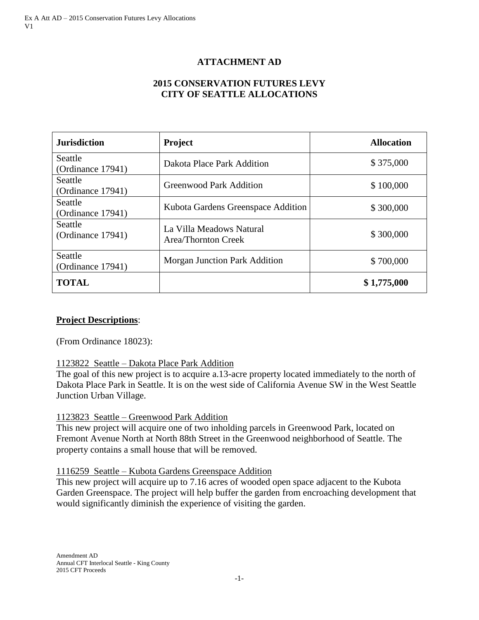# **ATTACHMENT AD**

## **2015 CONSERVATION FUTURES LEVY CITY OF SEATTLE ALLOCATIONS**

| <b>Jurisdiction</b>                 | <b>Project</b>                                  | <b>Allocation</b> |
|-------------------------------------|-------------------------------------------------|-------------------|
| <b>Seattle</b><br>(Ordinance 17941) | Dakota Place Park Addition                      | \$375,000         |
| Seattle<br>(Ordinance 17941)        | <b>Greenwood Park Addition</b>                  | \$100,000         |
| Seattle<br>(Ordinance 17941)        | Kubota Gardens Greenspace Addition              | \$300,000         |
| Seattle<br>(Ordinance 17941)        | La Villa Meadows Natural<br>Area/Thornton Creek | \$300,000         |
| Seattle<br>(Ordinance $17941$ )     | Morgan Junction Park Addition                   | \$700,000         |
| <b>TOTAL</b>                        |                                                 | \$1,775,000       |

#### **Project Descriptions**:

(From Ordinance 18023):

#### 1123822 Seattle – Dakota Place Park Addition

The goal of this new project is to acquire a.13-acre property located immediately to the north of Dakota Place Park in Seattle. It is on the west side of California Avenue SW in the West Seattle Junction Urban Village.

#### 1123823 Seattle – Greenwood Park Addition

This new project will acquire one of two inholding parcels in Greenwood Park, located on Fremont Avenue North at North 88th Street in the Greenwood neighborhood of Seattle. The property contains a small house that will be removed.

#### 1116259 Seattle – Kubota Gardens Greenspace Addition

This new project will acquire up to 7.16 acres of wooded open space adjacent to the Kubota Garden Greenspace. The project will help buffer the garden from encroaching development that would significantly diminish the experience of visiting the garden.